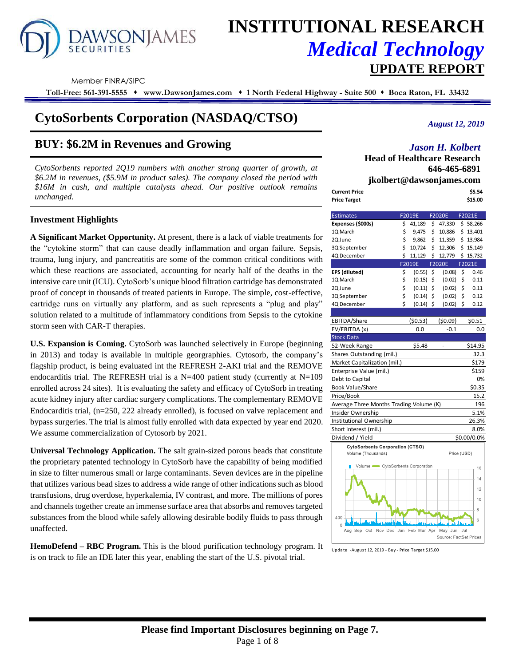# **AWSONIAMES**

# **INSTITUTIONAL RESEARCH** *Medical Technology* **UPDATE REPORT**

Member FINRA/SIPC

**Toll-Free: 561-391-5555** ⬧ **www.DawsonJames.com** ⬧ **1 North Federal Highway - Suite 500** ⬧ **Boca Raton, FL 33432**

# **CytoSorbents Corporation (NASDAQ/CTSO)**

# **BUY: \$6.2M in Revenues and Growing**

*CytoSorbents reported 2Q19 numbers with another strong quarter of growth, at \$6.2M in revenues, (\$5.9M in product sales). The company closed the period with \$16M in cash, and multiple catalysts ahead. Our positive outlook remains unchanged.*

# **Investment Highlights**

**A Significant Market Opportunity.** At present, there is a lack of viable treatments for the "cytokine storm" that can cause deadly inflammation and organ failure. Sepsis, trauma, lung injury, and pancreatitis are some of the common critical conditions with which these reactions are associated, accounting for nearly half of the deaths in the intensive care unit (ICU). CytoSorb's unique blood filtration cartridge has demonstrated proof of concept in thousands of treated patients in Europe. The simple, cost-effective, cartridge runs on virtually any platform, and as such represents a "plug and play" solution related to a multitude of inflammatory conditions from Sepsis to the cytokine storm seen with CAR-T therapies.

**U.S. Expansion is Coming.** CytoSorb was launched selectively in Europe (beginning in 2013) and today is available in multiple georgraphies. Cytosorb, the company's flagship product, is being evaluated int the REFRESH 2-AKI trial and the REMOVE endocarditis trial. The REFRESH trial is a N=400 patient study (currently at  $N=109$ enrolled across 24 sites). It is evaluating the safety and efficacy of CytoSorb in treating acute kidney injury after cardiac surgery complications. The complementary REMOVE Endocarditis trial, (n=250, 222 already enrolled), is focused on valve replacement and bypass surgeries. The trial is almost fully enrolled with data expected by year end 2020. We assume commercialization of Cytosorb by 2021.

**Universal Technology Application.** The salt grain-sized porous beads that constitute the proprietary patented technology in CytoSorb have the capability of being modified in size to filter numerous small or large contaminants. Seven devices are in the pipeline that utilizes various bead sizes to address a wide range of other indications such as blood transfusions, drug overdose, hyperkalemia, IV contrast, and more. The millions of pores and channels together create an immense surface area that absorbs and removes targeted substances from the blood while safely allowing desirable bodily fluids to pass through unaffected.

**HemoDefend – RBC Program.** This is the blood purification technology program. It is on track to file an IDE later this year, enabling the start of the U.S. pivotal trial.

# *August 12, 2019*

# *Jason H. Kolbert*

**Head of Healthcare Research 646-465-6891 jkolbert@dawsonjames.com**

| <b>Current Price</b> | \$5.54  |
|----------------------|---------|
| <b>Price Target</b>  | \$15.00 |

| <b>Estimates</b>                        |    | <b>F2020E</b> |    | F2021E                 |             |             |
|-----------------------------------------|----|---------------|----|------------------------|-------------|-------------|
| Expenses (\$000s)                       | \$ | 41,189        | \$ | 47,330                 |             | \$58,266    |
| 10 March                                | \$ | 9,475         | \$ | 10,886                 |             | \$13,401    |
| 2Q June                                 | \$ | 9,862         | \$ | 11,359                 |             | \$13,984    |
| 3Q September                            | \$ | 10,724        | Ś. | 12,306                 |             | \$15,149    |
| 4Q December                             | \$ | 11,129        | \$ | 12,779                 |             | \$15,732    |
|                                         |    | F2019E        |    | F2020E                 |             | F2021E      |
| EPS (diluted)                           | \$ | (0.55)        | \$ | (0.08)                 | \$          | 0.46        |
| 1Q March                                | \$ | (0.15)        | \$ | (0.02)                 | \$          | 0.11        |
| 2Q June                                 | \$ | (0.11)        | \$ | (0.02)                 | \$          | 0.11        |
| 3Q September                            | \$ | (0.14)        | \$ | (0.02)                 | \$          | 0.12        |
| 4Q December                             | Ś  | (0.14)        | \$ | (0.02)                 | \$          | 0.12        |
|                                         |    |               |    |                        |             |             |
| EBITDA/Share                            |    | (50.53)       |    | (50.09)                |             | \$0.51      |
| EV/EBITDA (x)                           |    | 0.0           |    | $-0.1$                 |             | 0.0         |
| <b>Stock Data</b>                       |    |               |    |                        |             |             |
| 52-Week Range                           |    | \$5.48        |    |                        |             | \$14.95     |
| Shares Outstanding (mil.)               |    |               |    |                        |             | 32.3        |
| Market Capitalization (mil.)            |    |               |    |                        |             | \$179       |
| Enterprise Value (mil.)                 |    |               |    |                        |             | \$159       |
| Debt to Capital                         |    |               |    |                        |             | 0%          |
| <b>Book Value/Share</b>                 |    |               |    |                        |             | \$0.35      |
| Price/Book                              |    |               |    |                        |             | 15.2        |
| Average Three Months Trading Volume (K) |    |               |    |                        |             | 196         |
| Insider Ownership                       |    |               |    |                        |             | 5.1%        |
| Institutional Ownership                 |    |               |    |                        |             | 26.3%       |
| Short interest (mil.)                   |    |               |    |                        |             | 8.0%        |
| Dividend / Yield                        |    |               |    |                        |             | \$0.00/0.0% |
| <b>CytoSorbents Corporation (CTSO)</b>  |    |               |    |                        |             |             |
| Volume (Thousands)                      |    |               |    |                        | Price (USD) |             |
| Volume CytoSorbents Corporation         |    |               |    |                        |             | 16          |
|                                         |    |               |    |                        |             | 14          |
|                                         |    |               |    |                        |             | 12          |
|                                         |    |               |    |                        |             | 10          |
|                                         |    |               |    |                        |             | 8           |
| 400<br>$\Omega$                         |    |               |    |                        |             | 6           |
| Aug Sep Oct<br>Nov Dec Jan              |    | Feb Mar Apr   |    | May Jun                | Jul         |             |
|                                         |    |               |    | Source: FactSet Prices |             |             |

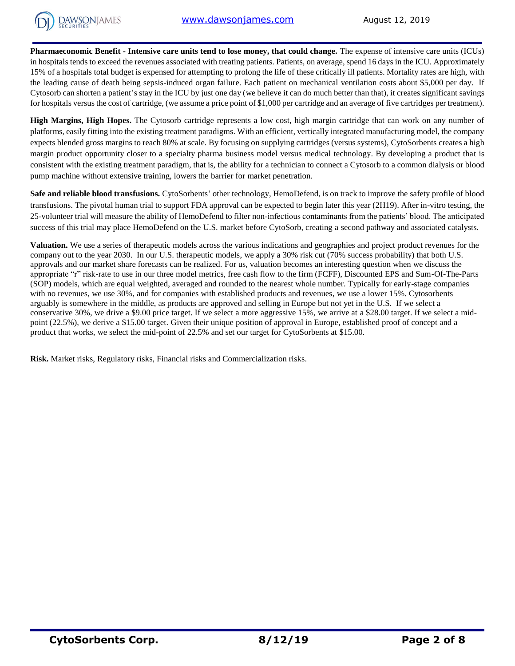

**Pharmaeconomic Benefit - Intensive care units tend to lose money, that could change.** The expense of intensive care units (ICUs) in hospitals tends to exceed the revenues associated with treating patients. Patients, on average, spend 16 days in the ICU. Approximately 15% of a hospitals total budget is expensed for attempting to prolong the life of these critically ill patients. Mortality rates are high, with the leading cause of death being sepsis-induced organ failure. Each patient on mechanical ventilation costs about \$5,000 per day. If Cytosorb can shorten a patient's stay in the ICU by just one day (we believe it can do much better than that), it creates significant savings for hospitals versus the cost of cartridge, (we assume a price point of \$1,000 per cartridge and an average of five cartridges per treatment).

**High Margins, High Hopes.** The Cytosorb cartridge represents a low cost, high margin cartridge that can work on any number of platforms, easily fitting into the existing treatment paradigms. With an efficient, vertically integrated manufacturing model, the company expects blended gross margins to reach 80% at scale. By focusing on supplying cartridges (versus systems), CytoSorbents creates a high margin product opportunity closer to a specialty pharma business model versus medical technology. By developing a product that is consistent with the existing treatment paradigm, that is, the ability for a technician to connect a Cytosorb to a common dialysis or blood pump machine without extensive training, lowers the barrier for market penetration.

**Safe and reliable blood transfusions.** CytoSorbents' other technology, HemoDefend, is on track to improve the safety profile of blood transfusions. The pivotal human trial to support FDA approval can be expected to begin later this year (2H19). After in-vitro testing, the 25-volunteer trial will measure the ability of HemoDefend to filter non-infectious contaminants from the patients' blood. The anticipated success of this trial may place HemoDefend on the U.S. market before CytoSorb, creating a second pathway and associated catalysts.

**Valuation.** We use a series of therapeutic models across the various indications and geographies and project product revenues for the company out to the year 2030. In our U.S. therapeutic models, we apply a 30% risk cut (70% success probability) that both U.S. approvals and our market share forecasts can be realized. For us, valuation becomes an interesting question when we discuss the appropriate "r" risk-rate to use in our three model metrics, free cash flow to the firm (FCFF), Discounted EPS and Sum-Of-The-Parts (SOP) models, which are equal weighted, averaged and rounded to the nearest whole number. Typically for early-stage companies with no revenues, we use 30%, and for companies with established products and revenues, we use a lower 15%. Cytosorbents arguably is somewhere in the middle, as products are approved and selling in Europe but not yet in the U.S. If we select a conservative 30%, we drive a \$9.00 price target. If we select a more aggressive 15%, we arrive at a \$28.00 target. If we select a midpoint (22.5%), we derive a \$15.00 target. Given their unique position of approval in Europe, established proof of concept and a product that works, we select the mid-point of 22.5% and set our target for CytoSorbents at \$15.00.

**Risk.** Market risks, Regulatory risks, Financial risks and Commercialization risks.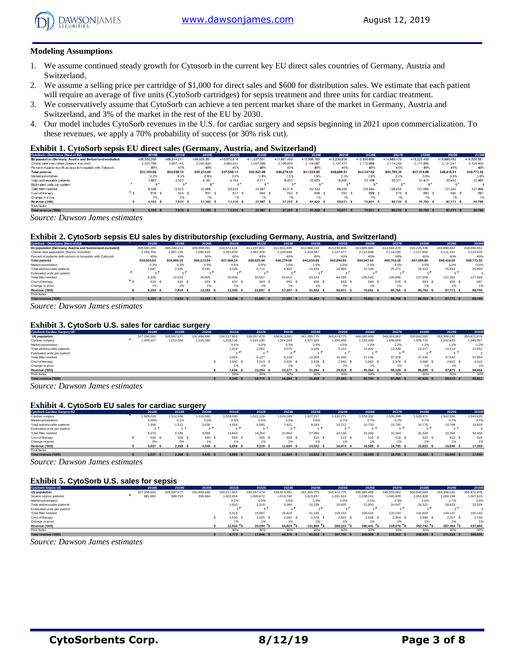

#### **Modeling Assumptions**

- 1. We assume continued steady growth for Cytosorb in the current key EU direct sales countries of Germany, Austria and Switzerland.
- 2. We assume a selling price per cartridge of \$1,000 for direct sales and \$600 for distribution sales. We estimate that each patient will require an average of five units (CytoSorb cartridges) for sepsis treatment and three units for cardiac treatment.
- 3. We conservatively assume that CytoSorb can achieve a ten percent market share of the market in Germany, Austria and Switzerland, and 3% of the market in the rest of the EU by 2030.
- 4. Our model includes CytoSorb revenues in the U.S. for cardiac surgery and sepsis beginning in 2021 upon commercialization. To these revenues, we apply a 70% probability of success (or 30% risk cut).

#### **Exhibit 1. CytoSorb sepsis EU direct sales (Germany, Austria, and Switzerland)**

| CytoSorb - Distributor (Rest of EU)                        | 2018E       | 2019E       | 2020E       | 2021E       | 2022E       | 2023E       | 2024E       | 2025E       | 2026E       | 2027E       | 2028E            | 2029E       | 2030E       |
|------------------------------------------------------------|-------------|-------------|-------------|-------------|-------------|-------------|-------------|-------------|-------------|-------------|------------------|-------------|-------------|
| EU population (Germany, Austria and Switzerland excluded)  | 408,580,205 | 409.244.211 | 409,908,351 | 410,572,616 | 411,237,001 | 411,901,499 | 412,566,103 | 413,230,806 | 413,895,600 | 414,560,479 | 415,225,435      | 415,890,462 | 416,555,551 |
| Critical care population (Sepsis included)                 | 2.083.759   | 2.087.145   | 2.090.533   | 2.093.920   | 2.097.309   | 2.100.698   | 2.104.087   | 2.107.477   | 2.110.868   | 2.114.258   | 2.117.650        | 2.121.041   | 2.124.433   |
| Percent of patients with access to hospitals with Cytosorb | 40%         | 40%         | 40%         | 40%         | 40%         | 40%         | 40%         | 40%         | 40%         | 40%         | 40%              | 40%         | 40%         |
| <b>Total patients</b>                                      | 833,503.62  | 834.858.19  | 836.213.04  | 837.568.14  | 838,923,48  | 840.279.06  | 841.634.85  | 842,990.84  | 844.347.02  | 845,703,38  | 847.059.89       | 848,416.54  | 849.773.32  |
| Market penetration                                         | 0.2%        | 0.3%        | 0.5%        | 0.5%        | 0.8%        | 1.0%        | 1.5%        | 2.0%        | 2.5%        | 3.0%        | 3.0%             | 3.0%        | 3.0%        |
| Total addressable patients                                 | 1.667       | 2.505       | 4.181       | 4.188       | 6.711       | 8,403       | 12.625      | 16,860      | 21.109      | 25.371      | 25.412           | 25.452      | 25,493      |
| Estimated units per patient                                |             |             |             |             | - 1         | e l         |             |             |             |             |                  |             |             |
| Total filter needed                                        | 8.335       | 12.523      | 20,905      | 20,939      | 33.557      | 42.014      | 63.123      | 84.299      | 105,543     | 126,856     | 127,059          | 127,262     | 127,466     |
| Cost of the rapy                                           | 618 S       | 624         | 631         | 637         | 643 S       | 650         | 656         | 663         | 669         | 676 S       | 683              | 690 S       | 697         |
| Change in price                                            | 1%          | 1%          |             | 1%          | 1%          | 1%          | 1%          | 1%          | 1%          |             | 1%               | 1%          | 1%          |
| Revenue ('000)                                             | 5.153       | 7,819       | 13,183      | 13,336      | 21,587      | 27,297 \$   | 41,422 \$   | 55,871 \$   | 70,651      | 85,766 \$   | 86,763 \$        | 87.771 S    | 88,790      |
| Risk factor                                                |             |             |             |             |             |             |             |             |             |             |                  |             |             |
| Total revenue ('000)                                       | 5.153       | 7819        | $13.183$ \$ | $13336$ $8$ | 21 587 S    | $27297$ $$$ | $41.422$ S  | 55871 S     | 70.651 \$   | 85766 S     | <b>86 763 \$</b> | 87771 S     | 88.790      |

*Source: Dawson James estimates*

#### **Exhibit 2. CytoSorb sepsis EU sales by distributorship (excluding Germany, Austria, and Switzerland)**

| CytoSorb - Distributor (Rest of EU)                        | 2018E       | 2019E       | 2020E       | 2021E       | 2022E       | 2023E       | 2024E       | 2025E       | 2026E       | 2027E       | 2028E       | 2029E          | 2030E       |
|------------------------------------------------------------|-------------|-------------|-------------|-------------|-------------|-------------|-------------|-------------|-------------|-------------|-------------|----------------|-------------|
| EU population (Germany, Austria and Switzerland excluded)  | 408,580,205 | 409.244.211 | 409.908.351 | 410.572.616 | 411.237.001 | 411.901.499 | 412.566.103 | 413.230.806 | 413.895.600 | 414.560.479 | 415.225.435 | 415.890.462    | 416.555.551 |
| Critical care population (Sepsis included)                 | 2.083.759   | 2.087.145   | 2.090.533   | 2.093.920   | 2.097.309   | 2.100.698   | 2.104.087   | 2.107.477   | 2.110.868   | 2.114.258   | 2.117.650   | 2.121.041      | 2.124.433   |
| Percent of patients with access to hospitals with Cytosorb | 40%         | 40%         | 40%         | 40%         | 40%         | 40%         | 40%         | 40%         | 40%         | 40%         | 40%         | 40%            | 40%         |
| <b>Total patients</b>                                      | 833.503.62  | 834.858.19  | 836.213.04  | 837.568.14  | 838,923,48  | 840.279.06  | 841.634.85  | 842,990,84  | 844.347.02  | 845.703.38  | 847.059.89  | 848,416,54     | 849.773.32  |
| Market penetration                                         | 0.2%        | 0.3%        | 0.5%        | 0.5%        | 0.8%        | 1.0%        | 1.5%        | 2.0%        | 2.5%        | 3.0%        | 3.0%        | 3.0%           | 3.0%        |
| Total addressable patients                                 | 1.667       | 2.505       | 4.181       | 4.188       | 6.711       | 8.403       | 12,625      | 16,860      | 21.109      | 25.371      | 25.412      | 25.452         | 25.493      |
| Estimated units per patient                                |             |             |             |             | - 1         |             |             |             |             | $\sim$ 1    |             |                |             |
| Total filter needed                                        | 8.335       | 12.523      | 20.905      | 20.939      | 33.557      | 42.014      | 63.123      | 84.299      | 105.543     | 126.856     | 127.059     | 127.262        | 127.466     |
| Cost of therapy                                            | 618         | 624 S       | 631         | 637         | 643 \$      | 650         | 656 S       | 663 S       | 669 \$      | 676 \$      | 683         | 690            | 697         |
| Change in price                                            | 1%          | 1%          | 1%          |             | 1%          | 1%          | 1%          | 1%          | 1%          | 1%          | 1%          | 1%             | 1%          |
| Revenue ('000)                                             | 5.153       | 7.819 \$    | 13.183      | 13.336      | 21.587 \$   | 27,297      | 41.422 \$   | 55.871      | 70.651      | 85.766 \$   | 86.763 \$   | 87.771<br>- \$ | 88,790      |
| Risk factor                                                |             |             |             |             |             |             |             |             |             |             |             |                |             |
| Total revenue ('000)                                       | 5.153       | 7.819 S     | 13,183      | 13,336 S    | 21.587 \$   | 27.297 \$   | 41.422 \$   | 55,871      | 70.651      | 85.766 \$   | 86,763 \$   | 87.771 \$      | 88,790      |

*Source: Dawson James estimates*

#### **Exhibit 3. CytoSorb U.S. sales for cardiac surgery**

| Exhibit 3. CytoSorb U.S. sales for cardiac surgery |             |             |             |             |             |             |             |             |             |             |             |             |             |
|----------------------------------------------------|-------------|-------------|-------------|-------------|-------------|-------------|-------------|-------------|-------------|-------------|-------------|-------------|-------------|
| <b>CytoSorb Cardiac Surgery US</b>                 | 2018E       | 2019E       | 2020E       | 2021E       | 2022E       | 2023E       | 2024E       | 2025E       | 2026E       | 2027E       | 2028E       | 2029E       | 2030E       |
| <b>US population</b>                               | 327.296.502 | 329.587.577 | 331.894.690 | 334.217.953 | 336.557.479 | 338.913.381 | 341.285.775 | 343.674.775 | 346,080,499 | 348.503.062 | 350.942.583 | 353.399.182 | 355,872,976 |
| Cardiac surgery                                    | 1,009,027   | 1,012,054   | 1,015,090   | 1,018,136   | 1.021.190   | 1.024.254   | 1,027,326   | 1.030.408   | 1.033.499   | 1,036,600   | 1,039,710   | 1.042.829   | 1.045.957   |
| Market penetration                                 |             |             |             | 0.1%        | 0.2%        | 0.3%        | 0.4%        | 0.5%        | 1.2%        | 1.2%        | 1.2%        | 1.2%        | 1.2%        |
| Total addressable patients                         |             |             |             | 1.018       | 2.042       | 3.073       | 4.109       | 5.152       | 12,402      | 12.439      | 12.477      | 12.514      | 12.551      |
| Estimated units per patient                        |             |             |             |             | $\sim$      | $\sim$      |             |             | $\sim$      | $\sim$      |             | $\sim$      |             |
| Total filter needed                                |             |             |             | 3.054       | 6.127       | 9.218       | 12.328      | 15.456      | 37.206      | 37,318      | 37,430      | 37.542      | 37.654      |
| Cost of therapy                                    |             |             |             | 2.500 S     | 2.513       | 2.525 S     | 2.538 S     | 2.550       | 2.563 S     | $2.576$ \$  | 2.589 S     | 2.602 S     | 2,615       |
| Change in price                                    |             |             |             | 1%          | 1%          | 1%          | 1%          | 1%          | 1%          | 1%          | 1%          | 1%          | 1%          |
| Revenue ('000)                                     |             |             |             | 7.636 S     | 15,394      | 23.277 \$   | 31.284 \$   | 39.419 S    | 95.364 \$   | 96.128 \$   | 96.899 S    | 97.675 \$   | 98,458      |
| Risk factor                                        |             |             |             | 30%         | 30%         | 30%         | 30%         | 30%         | 30%         | 30%         | 30%         | 30%         | 30%         |
| Total revenue ('000)                               |             |             |             | 5.345 S     | 10.776      | 16.294 \$   | 21.899 \$   | 27,593      | 66.755 \$   | 67.290 \$   | 67,829      | 68.373 \$   | 68.921      |

*Source: Dawson James estimates*

#### **Exhibit 4. CytoSorb EU sales for cardiac surgery**

| <b>Exhibit 4. CytoSorb EU sales for cardiac surgery</b> |          |           |           |           |           |           |           |           |           |           |           |                |           |
|---------------------------------------------------------|----------|-----------|-----------|-----------|-----------|-----------|-----------|-----------|-----------|-----------|-----------|----------------|-----------|
| <b>CytoSorb Cardiac Surgery EU</b>                      | 2018E    | 2019E     | 2020E     | 2021E     | 2022E     | 2023E     | 2024E     | 2025E     | 2026E     | 2027E     | 2028E     | 2029E          | 2030E     |
| Cardiac surgery                                         | .509.018 | 1.512.036 | 1.515.060 | 1.518.090 | 1.521.126 | 1.524.169 | 1,527,217 | 1.530.271 | 1,533,332 | 1,536,399 | 1.539.471 | 1.542.550      | 1.545.635 |
| Market penetration                                      | 0.09%    | 0.1%      | 0.2%      | 0.3%      | 0.4%      | 0.5%      | 0.6%      | 0.7%      | 0.7%      | 0.7%      | 0.7%      | 0.7%           | 0.7%      |
| Total addressable patients                              | 1.358    | 1,512     | 3.030     | 4.554     | 6.085     | 7.621     | 9.163     | 10.712    | 10.733    | 10.755    | 10.776    | 10.798         | 10,819    |
| Estimated units per patient                             | $\sim$   | $\sim$    |           |           | $\sim$    |           | $\sim$    |           | $\sim$    | $\sim$    |           | $\sim$         |           |
| Total filter needed                                     | 4.074    | 4.536     | 9.090     | 13.663    | 18.254    | 22.863    | 27,490    | 32.136    | 32.200    | 32.264    | 32.329    | 32.394         | 32.458    |
| Cost of therapy                                         | 500 S    | 500 \$    | 500 S     | 503       | 505 \$    | 508       | 510 S     | 513 S     | 515 S     | 518 S     | 520       | 523 \$         | 526       |
| Change in price                                         | 0%       | 0%        | 1%        | 1%        | 1%        | 1%        |           | 1%        | 1%        | 1%        | 1%        | 1%             | 1%        |
| Revenue ('000)                                          | 2.037    | 2.268     | 4.545 S   | 6,866     | 9.218     | 11,604    | 14,022 \$ | 16.474 S  | 16,589 \$ | 16.705 \$ | 16.822 S  | 16,940<br>- \$ | 17,059    |
| Risk factor                                             |          |           |           |           |           |           |           |           |           |           |           |                |           |
| Total revenue ('000)                                    | 2.037    | 2.268S    | 4.545 S   | 6.866 S   | 9,218     | 11,604 \$ | 14.022 \$ | 16,474 S  | 16,589 \$ | 16.705 \$ | 16.822 S  | 16,940 \$      | 17,059    |

*Source: Dawson James estimates*

#### **Exhibit 5. CytoSorb U.S. sales for sepsis**

| <b>Exhibit 5. CytoSorb U.S. sales for sepsis</b> |             |             |             |             |             |             |             |             |             |             |             |             |             |
|--------------------------------------------------|-------------|-------------|-------------|-------------|-------------|-------------|-------------|-------------|-------------|-------------|-------------|-------------|-------------|
| <b>CytoSorb Sepsis US</b>                        | 2018E       | 2019E       | 2020E       | 2021E       | 2022E       | 2023E       | 2024E       | 2025E       | 2026E       | 2027E       | 2028E       | 2029E       | 2030E       |
| <b>US population</b>                             | 327.296.502 | 329.587.577 | 331.894.690 | 334.217.953 | 336,557,479 | 338.913.381 | 341,285,775 | 343.674.775 | 346,080,499 | 348,503,062 | 350,942,583 | 353.399.182 | 355,872,976 |
| Severe sepsis patients                           | 981,890     | 988,763     | 995,684     | 1.002.654   | 1,009,672   | 1,016,740   | 1,023,857   | 1.031.024   | 1.038.241   | 1,045,509   | 1,052,828   | 1,060,198   | 1.067.619   |
| Market penetration                               |             |             |             | 0.1%        | 0.2%        | 0.5%        | 1.0%        | 2.0%        | 2.1%        | 2.3%        | 2.5%        | 2.7%        | 3.0%        |
| Total addressable patients                       |             |             |             | 1.003       | 2.019       | 5.084       | 10,239      | 20,620      | 21,803      | 24.047      | 26.321      | 28.625      | 32.029      |
| Estimated units per patient                      |             |             |             |             | еv          |             |             |             |             | - -         |             |             |             |
| Total filter needed                              |             |             |             | 5.013       | 10.097      | 25.419      | 51.193      | 103.102     | 109.015     | 120.234     | 131.603     | 143.127     | 160.143     |
| Cost of therapy                                  |             |             |             | 2.500       | 2.525       | 2.550       | 2.576S      | 2.602 S     | 2.628 S     | $2,654$ \$  | 2.680S      | 2.707 \$    | 2.734       |
| Change in price                                  |             |             |             |             |             |             |             | 1%          | 1%          | 1%          | 1%          |             | 1%          |
| Revenue ('000)                                   |             |             |             | 12.533 S    | $25.494$ S  | 64.824 S    | 131.860     | 268.222 S   | 286.441 S   | 319,076     | 352.742 S   | 387.464 S   | 437.865     |
| Risk factor                                      |             |             |             | 30%         | 30%         | 30%         | 30%         | 30%         | 30%         | 30%         | 30%         | 30%         | 30%         |
| Total revenue ('000)                             |             |             |             | 8,773       | 17,846      | 45,376      | 92.302 \$   | 187,755 \$  | 200.508     | 223.353     | 246,919 S   | 271.225 \$  | 306.505     |

*Source: Dawson James estimates*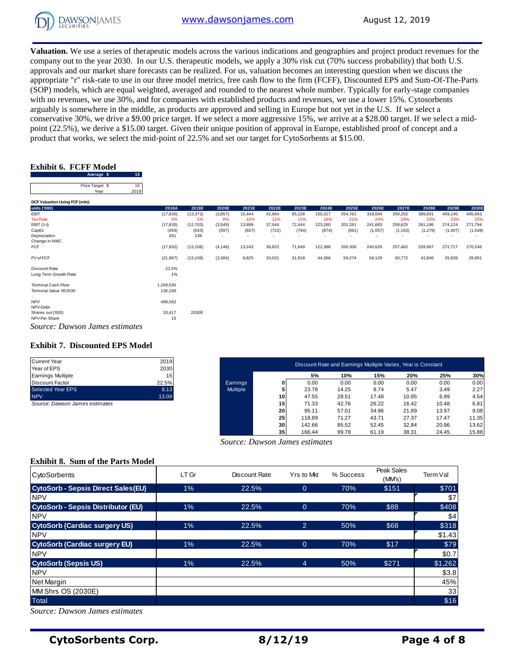

**Valuation.** We use a series of therapeutic models across the various indications and geographies and project product revenues for the company out to the year 2030. In our U.S. therapeutic models, we apply a 30% risk cut (70% success probability) that both U.S. approvals and our market share forecasts can be realized. For us, valuation becomes an interesting question when we discuss the appropriate "r" risk-rate to use in our three model metrics, free cash flow to the firm (FCFF), Discounted EPS and Sum-Of-The-Parts (SOP) models, which are equal weighted, averaged and rounded to the nearest whole number. Typically for early-stage companies with no revenues, we use 30%, and for companies with established products and revenues, we use a lower 15%. Cytosorbents arguably is somewhere in the middle, as products are approved and selling in Europe but not yet in the U.S. If we select a conservative 30%, we drive a \$9.00 price target. If we select a more aggressive 15%, we arrive at a \$28.00 target. If we select a midpoint (22.5%), we derive a \$15.00 target. Given their unique position of approval in Europe, established proof of concept and a product that works, we select the mid-point of 22.5% and set our target for CytoSorbents at \$15.00.<br> **Exhibit 6. FCFF Model**<br>
Average **\$** 15<br>
Price Target \$ 15

# **Exhibit 6. FCFF Model**

| .                       |  |                 |
|-------------------------|--|-----------------|
| Exhibit 6.  FCFF Model  |  |                 |
| Average \$              |  | 15 <sub>1</sub> |
| Price Target \$<br>Year |  | 15<br>2019      |
|                         |  |                 |

| Average $\phi$<br>ാ            |           |           |          |                          |                          |        |                          |         |         |          |         |                          |         |
|--------------------------------|-----------|-----------|----------|--------------------------|--------------------------|--------|--------------------------|---------|---------|----------|---------|--------------------------|---------|
| Price Target \$<br>15          |           |           |          |                          |                          |        |                          |         |         |          |         |                          |         |
| 2019<br>Year                   |           |           |          |                          |                          |        |                          |         |         |          |         |                          |         |
| DCF Valuation Using FCF (mln): |           |           |          |                          |                          |        |                          |         |         |          |         |                          |         |
| units ('000)                   | 2018A     | 2019E     | 2020E    | 2021E                    | 2022E                    | 2023E  | 2024E                    | 2025E   | 2026E   | 2027E    | 2028E   | 2029E                    | 2030E   |
| EBIT                           | (17, 830) | (13, 372) | (3, 857) | 15,444                   | 42,664                   | 85,228 | 150,317                  | 254,761 | 318,004 | 359,202  | 389,831 | 409,140                  | 405,663 |
| <b>Tax Rate</b>                | 0%        | 5%        | 8%       | 10%                      | 12%                      | 15%    | 18%                      | 21%     | 24%     | 28%      | 33%     | 33%                      | 33%     |
| EBIT (1-t)                     | (17, 830) | (12,703)  | (3,549)  | 13,899                   | 37,544                   | 72,444 | 123,260                  | 201,261 | 241,683 | 258,625  | 261,186 | 274,124                  | 271,794 |
| CapEx                          | (493)     | (543)     | (597)    | (657)                    | (722)                    | (794)  | (874)                    | (961)   | (1,057) | (1, 163) | (1,279) | (1, 407)                 | (1,548) |
| Depreciation                   | 391       | 138       | $\sim$   | $\overline{\phantom{a}}$ | $\overline{\phantom{a}}$ | ٠      | $\overline{\phantom{a}}$ | ٠       | ٠       |          |         | $\overline{\phantom{a}}$ |         |
| Change in NWC                  |           |           |          |                          |                          |        |                          |         |         |          |         |                          |         |
| FCF                            | (17, 932) | (13, 108) | (4, 146) | 13,243                   | 36,822                   | 71,649 | 122,386                  | 200,300 | 240,626 | 257,462  | 259,907 | 272,717                  | 270,246 |
| PV of FCF                      | (21, 967) | (13, 108) | (3, 384) | 8,825                    | 20,031                   | 31,818 | 44,366                   | 59,274  | 58,129  | 50,772   | 41,840  | 35,839                   | 28,991  |
| Discount Rate                  | 22.5%     |           |          |                          |                          |        |                          |         |         |          |         |                          |         |
| Long Term Growth Rate          | $1\%$     |           |          |                          |                          |        |                          |         |         |          |         |                          |         |
| <b>Terminal Cash Flow</b>      | 1,269,530 |           |          |                          |                          |        |                          |         |         |          |         |                          |         |
| Terminal Value YE2030          | 136,190   |           |          |                          |                          |        |                          |         |         |          |         |                          |         |
| <b>NPV</b>                     | 499,582   |           |          |                          |                          |        |                          |         |         |          |         |                          |         |
| NPV-Debt                       |           |           |          |                          |                          |        |                          |         |         |          |         |                          |         |
| Shares out ('000)              | 33,417    | 2030E     |          |                          |                          |        |                          |         |         |          |         |                          |         |
| NPV Per Share                  | 15        |           |          |                          |                          |        |                          |         |         |          |         |                          |         |
| Source: Dawson James estimates |           |           |          |                          |                          |        |                          |         |         |          |         |                          |         |

# **Exhibit 7. Discounted EPS Model**

| 2030            |
|-----------------|
| 15 <sub>1</sub> |
| 22.5%           |
| 8.13            |
| 13.09           |
|                 |

| Current Year                   | 2019  |                 |                 | Discount Rate and Earnings Multiple Varies, Year is Constant |       |       |       |       |       |
|--------------------------------|-------|-----------------|-----------------|--------------------------------------------------------------|-------|-------|-------|-------|-------|
| Year of EPS                    | 2030  |                 |                 |                                                              |       |       |       |       |       |
| Earnings Multiple              | 15    |                 |                 | 5%                                                           | 10%   | 15%   | 20%   | 25%   | 30%   |
| Discount Factor                | 22.5% | Earnings        | 01              | 0.00                                                         | 0.00  | 0.00  | 0.00  | 0.00  | 0.00  |
| Selected Year EPS              | 8.13  | <b>Multiple</b> |                 | 23.78                                                        | 14.25 | 8.74  | 5.47  | 3.49  | 2.27  |
| <b>NPV</b>                     | 13.09 |                 | 10              | 47.55                                                        | 28.51 | 17.48 | 10.95 | 6.99  | 4.54  |
| Source: Dawson James estimates |       |                 | 15 <sub>l</sub> | 71.33                                                        | 42.76 | 26.22 | 16.42 | 10.48 | 6.81  |
|                                |       |                 | 20              | 95.11                                                        | 57.01 | 34.96 | 21.89 | 13.97 | 9.08  |
|                                |       |                 | 25              | 118.89                                                       | 71.27 | 43.71 | 27.37 | 17.47 | 11.35 |
|                                |       |                 | 30 <sup>1</sup> | 142.66                                                       | 85.52 | 52.45 | 32.84 | 20.96 | 13.62 |
|                                |       |                 | 35 <sub>1</sub> | 166.44                                                       | 99.78 | 61.19 | 38.31 | 24.45 | 15.88 |

 *Source: Dawson James estimates*

# **Exhibit 8. Sum of the Parts Model**

| <b>CytoSorbents</b>                       | LT Gr | Discount Rate | Yrs to Mkt     | % Success | Peak Sales<br>(MMs) | Term Val |
|-------------------------------------------|-------|---------------|----------------|-----------|---------------------|----------|
| <b>CytoSorb - Sepsis Direct Sales(EU)</b> | 1%    | 22.5%         | $\overline{0}$ | 70%       | \$151               | \$701    |
| <b>NPV</b>                                |       |               |                |           |                     | \$7      |
| <b>CytoSorb - Sepsis Distributor (EU)</b> | 1%    | 22.5%         | $\mathbf{0}$   | 70%       | \$88                | \$408    |
| <b>NPV</b>                                |       |               |                |           |                     | \$4      |
| <b>CytoSorb (Cardiac surgery US)</b>      | $1\%$ | 22.5%         | $\overline{2}$ | 50%       | \$68                | \$318    |
| <b>NPV</b>                                |       |               |                |           |                     | \$1.43   |
| <b>CytoSorb (Cardiac surgery EU)</b>      | 1%    | 22.5%         | $\overline{0}$ | 70%       | \$17                | \$79     |
| <b>NPV</b>                                |       |               |                |           |                     | \$0.7    |
| <b>CytoSorb (Sepsis US)</b>               | $1\%$ | 22.5%         | $\overline{4}$ | 50%       | \$271               | \$1,262  |
| <b>NPV</b>                                |       |               |                |           |                     | \$3.8    |
| <b>Net Margin</b>                         |       |               |                |           |                     | 45%      |
| MM Shrs OS (2030E)                        |       |               |                |           |                     | 33       |
| <b>Total</b>                              |       |               |                |           |                     | \$16     |

*Source: Dawson James estimates*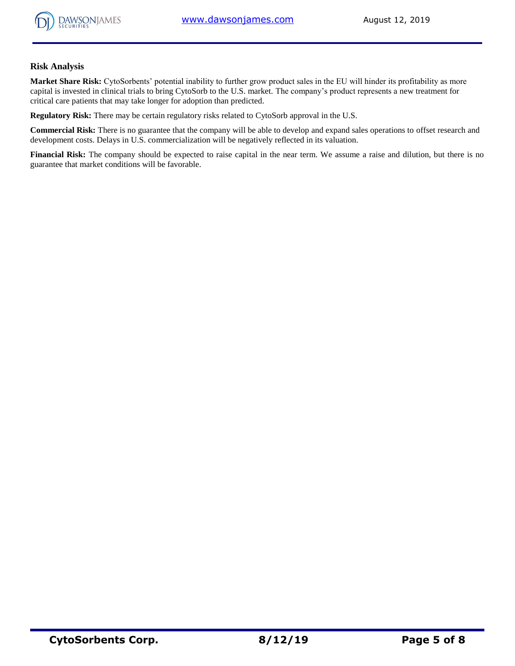

## **Risk Analysis**

**Market Share Risk:** CytoSorbents' potential inability to further grow product sales in the EU will hinder its profitability as more capital is invested in clinical trials to bring CytoSorb to the U.S. market. The company's product represents a new treatment for critical care patients that may take longer for adoption than predicted.

**Regulatory Risk:** There may be certain regulatory risks related to CytoSorb approval in the U.S.

**Commercial Risk:** There is no guarantee that the company will be able to develop and expand sales operations to offset research and development costs. Delays in U.S. commercialization will be negatively reflected in its valuation.

**Financial Risk:** The company should be expected to raise capital in the near term. We assume a raise and dilution, but there is no guarantee that market conditions will be favorable.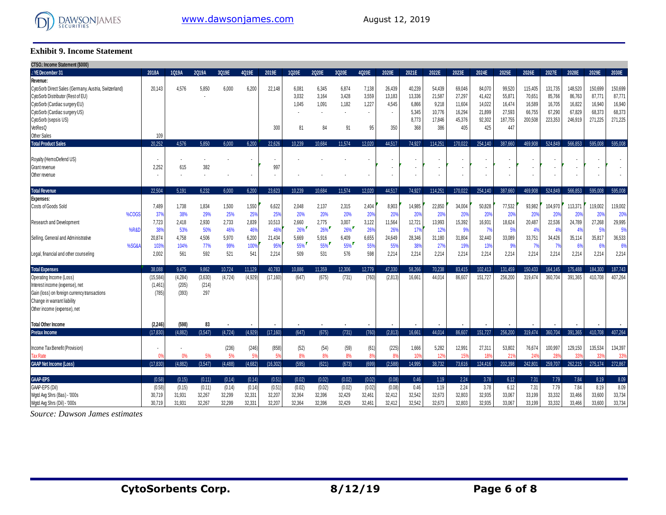

## **Exhibit 9. Income Statement**

 $\sim$ 

| <b>UISO.: Income Statement (\$000)</b>                |                          |         |         |         |         |           |        |        |        |        |            |        |         |         |                          |         |              |         |         |         |         |
|-------------------------------------------------------|--------------------------|---------|---------|---------|---------|-----------|--------|--------|--------|--------|------------|--------|---------|---------|--------------------------|---------|--------------|---------|---------|---------|---------|
| : YE December 31                                      | 2018A                    | 1Q19A   | 2Q19A   | 3Q19E   | 4Q19E   | 2019E     | 1Q20E  | 2Q20E  | 3Q20E  | 4020E  | 2020E      | 2021E  | 2022E   | 2023E   | 2024E                    | 2025E   | 2026E        | 2027E   | 2028E   | 2029E   | 2030E   |
| Revenue:                                              |                          |         |         |         |         |           |        |        |        |        |            |        |         |         |                          |         |              |         |         |         |         |
| CytoSorb Direct Sales (Germany, Austria, Switzerland) | 20.143                   | 4.576   | 5.850   | 6.000   | 6.200   | 22,148    | 6.081  | 6,345  | 6.874  | 7,138  | 26,439     | 40.239 | 54.439  | 69.046  | 84.070                   | 99,520  | 115,405      | 131.735 | 148.520 | 150,699 | 150,699 |
| CytoSorb Distributor (Rest of EU)                     |                          |         |         |         |         |           | 3,032  | 3,164  | 3,428  | 3,559  | 13,183     | 13,336 | 21,587  | 27,297  | 41,422                   | 55,871  | 70,651       | 85,766  | 86,763  | 87,771  | 87,771  |
| CytoSorb (Cardiac surgery EU)                         |                          |         |         |         |         |           | 1,045  | 1,091  | 1,182  | 1,227  | 4.545      | 6.866  | 9,218   | 11,604  | 14,022                   | 16.474  | 16,589       | 16,705  | 16,822  | 16,940  | 16,940  |
| CytoSorb (Cardiac surgery US)                         |                          |         |         |         |         |           |        |        |        | $\sim$ |            | 5,345  | 10,776  | 16,294  | 21,899                   | 27,593  | 66,755       | 67,290  | 67.829  | 68,373  | 68,373  |
| CytoSorb (sepsis US)                                  |                          |         |         |         |         |           |        |        |        |        |            | 8,773  | 17,846  | 45,376  | 92,302                   | 187,755 | 200,508      | 223,353 | 246,919 | 271,225 | 271,225 |
| VetResQ                                               |                          |         |         |         |         | 300       | 81     | 84     | 91     | 95     | 350        | 368    | 386     | 405     | 425                      | 447     |              |         |         |         |         |
| Other Sales                                           | 109                      |         |         |         |         |           |        |        |        |        |            |        |         |         |                          |         |              |         |         |         |         |
| <b>Total Product Sales</b>                            | 20.252                   | 4.576   | 5.850   | 6.000   | 6.200   | 22.626    | 10.239 | 10.684 | 11.574 | 12.020 | 44.517     | 74.927 | 114.251 | 170.022 | 254.140                  | 387.660 | 469.908      | 524.849 | 566.853 | 595.008 | 595.008 |
| Royalty (HemoDefend US)                               | $\cdot$                  |         |         |         |         |           |        |        |        |        |            |        |         |         | ٠                        |         |              |         |         |         |         |
| Grant revenue                                         | 2.252                    | 615     | 382     |         |         | 997       |        |        |        |        |            |        |         |         |                          |         |              |         |         |         |         |
| Other revenue                                         | $\overline{\phantom{a}}$ |         |         |         |         |           |        |        |        |        |            |        |         |         | $\overline{\phantom{a}}$ |         |              |         |         |         |         |
|                                                       |                          |         |         |         |         |           |        |        |        |        |            |        |         |         |                          |         |              |         |         |         |         |
| <b>Total Revenue</b>                                  | 22.504                   | 5.191   | 6.232   | 6.000   | 6,200   | 23.623    | 10.239 | 10.684 | 11.574 | 12.020 | 44.517     | 74.927 | 114.251 | 170,022 | 254.140                  | 387.660 | 469.908      | 524.849 | 566.853 | 595.008 | 595.008 |
| Expenses:                                             |                          |         |         |         |         |           |        |        |        |        |            |        |         |         |                          |         |              |         |         |         |         |
| Costs of Goods Sold                                   | 7,489                    | 1,738   | 1,834   | 1,500   | 1,550   | 6,622     | 2,048  | 2,137  | 2,315  | 2,404  | 8,903      | 14,985 | 22,850  | 34,004  | 50,828                   | 77,532  | 93,982       | 104,970 | 113,371 | 119,002 | 119,002 |
| %COGS                                                 | 37%                      | 38%     | 29%     | 25%     | 25%     | 25%       | 20%    | 20%    | 20%    | 20%    | <b>20%</b> | 20%    | 20%     | 20%     | 20%                      | 20%     | 20%          | 20%     | 20%     | 20%     | 20%     |
| Research and Development                              | 7.723                    | 2.418   | 2,930   | 2,733   | 2,839   | 10,513    | 2,660  | 2,775  | 3,007  | 3,122  | 11,564     | 12.721 | 13,993  | 15,392  | 16,931                   | 18,624  | 20,487       | 22,536  | 24.789  | 27.268  | 29,995  |
| %R&D                                                  | 38%                      | 53%     | 50%     | 46%     | 46%     | 46%       | $26\%$ | 26%    | $26\%$ | 26%    | 26%        | 17%    | 12%     | 9%      | 7%                       | 5%      | 4%           | 4%      | 4%      | 5%      | 5%      |
| Selling, General and Administrative                   | 20.874                   | 4.758   | 4,506   | 5,970   | 6,200   | 21,434    | 5,669  | 5,916  | 6,409  | 6,655  | 24.649     | 28,346 | 31.180  | 31,804  | 32,440                   | 33,089  | 33,751       | 34,426  | 35,114  | 35,817  | 36,533  |
| %SG&A                                                 | 103%                     | 104%    | 77%     | 99%     | 100%    | 95%       | 55%    | 55%    | 55%    | 55%    | 55%        | 38%    | 27%     | 19%     | 13%                      | 99      | 7%           | 7%      | 6%      | 6%      | 6%      |
| Legal, financial and other counseling                 | 2.002                    | 561     | 592     | 521     | 541     | 2.214     | 509    | 531    | 576    | 598    | 2.214      | 2.214  | 2.214   | 2.214   | 2.214                    | 2.214   | 2.214        | 2.214   | 2.214   | 2.214   | 2,214   |
| <b>Total Expenses</b>                                 | 38.088                   | 9.475   | 9.862   | 10.724  | 11.129  | 40.783    | 10.886 | 11.359 | 12.306 | 12.779 | 47.330     | 58.266 | 70.238  | 83.415  | 102.413                  | 131.459 | 150.433      | 164.145 | 175.488 | 184.300 | 187,743 |
| Operating Income (Loss)                               | (15, 584)                | (4,284) | (3,630) | (4,724) | (4.929) | (17, 160) | (647)  | (675)  | (731)  | (760)  | (2.813)    | 16.661 | 44.014  | 86.607  | 151.727                  | 256.200 | 319.474      | 360.704 | 391.365 | 410.708 | 407.264 |
| Interest income (expense), net                        | (1, 461)                 | (205)   | (214)   |         |         |           |        |        |        |        |            |        |         |         |                          |         |              |         |         |         |         |
| Gain (loss) on foreign currency transactions          | (785)                    | (393)   | 297     |         |         |           |        |        |        |        |            |        |         |         |                          |         |              |         |         |         |         |
| Change in warrant liability                           |                          |         |         |         |         |           |        |        |        |        |            |        |         |         |                          |         |              |         |         |         |         |
| Other income (expense), net                           |                          |         |         |         |         |           |        |        |        |        |            |        |         |         |                          |         |              |         |         |         |         |
|                                                       |                          |         |         |         |         |           |        |        |        |        |            |        |         |         |                          |         |              |         |         |         |         |
| <b>Total Other Income</b>                             | (2, 246)                 | (598)   | 83      |         |         |           |        |        |        |        |            |        |         |         |                          |         |              |         |         |         |         |
| <b>Pretax Income</b>                                  | (17.830)                 | (4.882) | (3.547) | (4.724) | (4.929) | (17, 160) | (647)  | (675)  | (731)  | (760)  | (2.813)    | 16.661 | 44.014  | 86.607  | 151.727                  | 256.200 | 319.474      | 360.704 | 391.365 | 410.708 | 407.264 |
| Income Tax Benefit (Provision)                        | $\bullet$                |         |         | (236)   | (246)   | (858)     | (52)   | (54)   | (59)   | (61)   | (225)      | 1,666  | 5,282   | 12,991  | 27.31                    | 53,802  | 76,674       | 100,997 | 129,150 | 135,534 | 134,397 |
| <b>Tax Rate</b>                                       | 0%                       | 0%      | 5%      | 5%      | 5%      | 5%        | 8%     | 8%     | 8%     | 8%     | 8%         | 109    | 12%     | 15%     | 189                      | 219     | $24^{\circ}$ | 289     | 33%     | 339     | 33%     |
| <b>GAAP Net Income (Loss)</b>                         | (17.830)                 | (4.882) | (3.547) | (4.488) | (4.682) | (16.302)  | (595)  | (621)  | (673)  | (699)  | (2.588)    | 14.995 | 38.732  | 73.616  | 124.416                  | 202.398 | 242.801      | 259.707 | 262.215 | 275.174 | 272,867 |
|                                                       |                          |         |         |         |         |           |        |        |        |        |            |        |         |         |                          |         |              |         |         |         |         |
| <b>GAAP-EPS</b>                                       | (0.58)                   | (0.15)  | (0.11)  | (0.14)  | (0.14)  | (0.51)    | (0.02) | (0.02) | (0.02) | (0.02) | (0.08)     | 0.46   | 1.19    | 2.24    | 3.78                     | 6.12    | 7.31         | 7.79    | 7.84    | 8.19    | $8.09$  |
| GAAP-EPS (Dil)                                        | (0.58)                   | (0.15)  | (0.11)  | (0.14)  | (0.14)  | (0.51)    | (0.02) | (0.02) | (0.02) | (0.02) | (0.08)     | 0.46   | 1.19    | 2.24    | 3.78                     | 6.12    | 7.31         | 7.79    | 7.84    | 8.19    | 8.09    |
| Wgtd Avg Shrs (Bas) - '000s                           | 30.719                   | 31,931  | 32,267  | 32,299  | 32,331  | 32,207    | 32,364 | 32,396 | 32,429 | 32,461 | 32,412     | 32,542 | 32,673  | 32,803  | 32,935                   | 33,067  | 33,199       | 33,332  | 33,466  | 33,600  | 33,734  |
| Wgtd Avg Shrs (Dil) - '000s                           | 30,719                   | 31,931  | 32,267  | 32,299  | 32,331  | 32,207    | 32,364 | 32,396 | 32,429 | 32,461 | 32.412     | 32,542 | 32,673  | 32.803  | 32,935                   | 33,067  | 33,199       | 33,332  | 33.466  | 33,600  | 33,734  |

Source: Dawson James estimates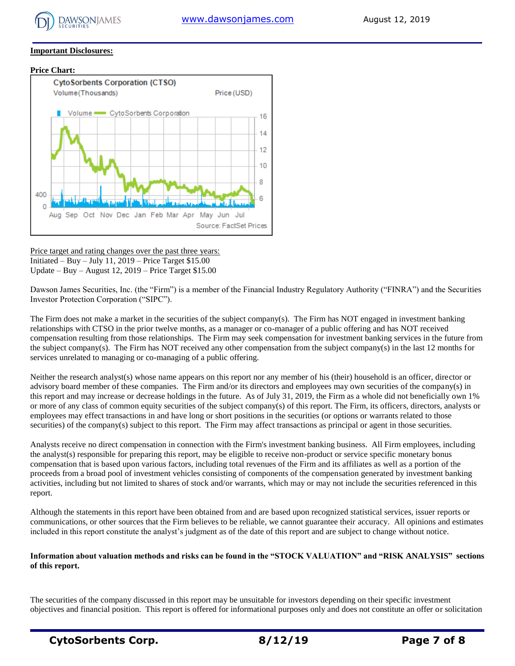

## **Important Disclosures:**

## **Price Chart:**



Price target and rating changes over the past three years: Initiated – Buy – July 11, 2019 – Price Target \$15.00 Update – Buy – August 12, 2019 – Price Target \$15.00

Dawson James Securities, Inc. (the "Firm") is a member of the Financial Industry Regulatory Authority ("FINRA") and the Securities Investor Protection Corporation ("SIPC").

The Firm does not make a market in the securities of the subject company(s). The Firm has NOT engaged in investment banking relationships with CTSO in the prior twelve months, as a manager or co-manager of a public offering and has NOT received compensation resulting from those relationships. The Firm may seek compensation for investment banking services in the future from the subject company(s). The Firm has NOT received any other compensation from the subject company(s) in the last 12 months for services unrelated to managing or co-managing of a public offering.

Neither the research analyst(s) whose name appears on this report nor any member of his (their) household is an officer, director or advisory board member of these companies. The Firm and/or its directors and employees may own securities of the company(s) in this report and may increase or decrease holdings in the future. As of July 31, 2019, the Firm as a whole did not beneficially own 1% or more of any class of common equity securities of the subject company(s) of this report. The Firm, its officers, directors, analysts or employees may effect transactions in and have long or short positions in the securities (or options or warrants related to those securities) of the company(s) subject to this report. The Firm may affect transactions as principal or agent in those securities.

Analysts receive no direct compensation in connection with the Firm's investment banking business. All Firm employees, including the analyst(s) responsible for preparing this report, may be eligible to receive non-product or service specific monetary bonus compensation that is based upon various factors, including total revenues of the Firm and its affiliates as well as a portion of the proceeds from a broad pool of investment vehicles consisting of components of the compensation generated by investment banking activities, including but not limited to shares of stock and/or warrants, which may or may not include the securities referenced in this report.

Although the statements in this report have been obtained from and are based upon recognized statistical services, issuer reports or communications, or other sources that the Firm believes to be reliable, we cannot guarantee their accuracy. All opinions and estimates included in this report constitute the analyst's judgment as of the date of this report and are subject to change without notice.

# **Information about valuation methods and risks can be found in the "STOCK VALUATION" and "RISK ANALYSIS" sections of this report.**

The securities of the company discussed in this report may be unsuitable for investors depending on their specific investment objectives and financial position. This report is offered for informational purposes only and does not constitute an offer or solicitation